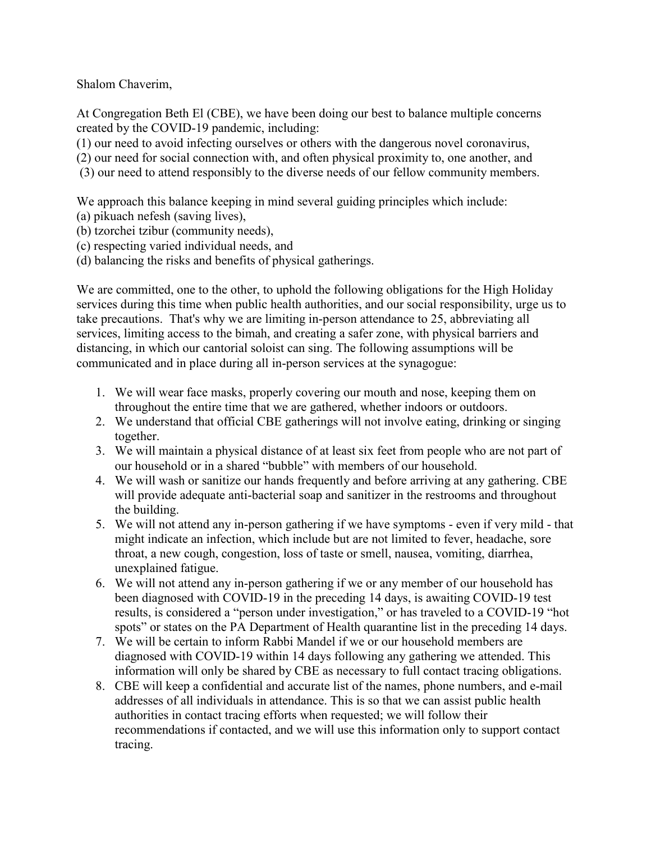Shalom Chaverim,

At Congregation Beth El (CBE), we have been doing our best to balance multiple concerns created by the COVID-19 pandemic, including:

(1) our need to avoid infecting ourselves or others with the dangerous novel coronavirus,

(2) our need for social connection with, and often physical proximity to, one another, and

(3) our need to attend responsibly to the diverse needs of our fellow community members.

We approach this balance keeping in mind several guiding principles which include:

- (a) pikuach nefesh (saving lives),
- (b) tzorchei tzibur (community needs),
- (c) respecting varied individual needs, and
- (d) balancing the risks and benefits of physical gatherings.

We are committed, one to the other, to uphold the following obligations for the High Holiday services during this time when public health authorities, and our social responsibility, urge us to take precautions. That's why we are limiting in-person attendance to 25, abbreviating all services, limiting access to the bimah, and creating a safer zone, with physical barriers and distancing, in which our cantorial soloist can sing. The following assumptions will be communicated and in place during all in-person services at the synagogue:

- 1. We will wear face masks, properly covering our mouth and nose, keeping them on throughout the entire time that we are gathered, whether indoors or outdoors.
- 2. We understand that official CBE gatherings will not involve eating, drinking or singing together.
- 3. We will maintain a physical distance of at least six feet from people who are not part of our household or in a shared "bubble" with members of our household.
- 4. We will wash or sanitize our hands frequently and before arriving at any gathering. CBE will provide adequate anti-bacterial soap and sanitizer in the restrooms and throughout the building.
- 5. We will not attend any in-person gathering if we have symptoms even if very mild that might indicate an infection, which include but are not limited to fever, headache, sore throat, a new cough, congestion, loss of taste or smell, nausea, vomiting, diarrhea, unexplained fatigue.
- 6. We will not attend any in-person gathering if we or any member of our household has been diagnosed with COVID-19 in the preceding 14 days, is awaiting COVID-19 test results, is considered a "person under investigation," or has traveled to a COVID-19 "hot spots" or states on the PA Department of Health quarantine list in the preceding 14 days.
- 7. We will be certain to inform Rabbi Mandel if we or our household members are diagnosed with COVID-19 within 14 days following any gathering we attended. This information will only be shared by CBE as necessary to full contact tracing obligations.
- 8. CBE will keep a confidential and accurate list of the names, phone numbers, and e-mail addresses of all individuals in attendance. This is so that we can assist public health authorities in contact tracing efforts when requested; we will follow their recommendations if contacted, and we will use this information only to support contact tracing.